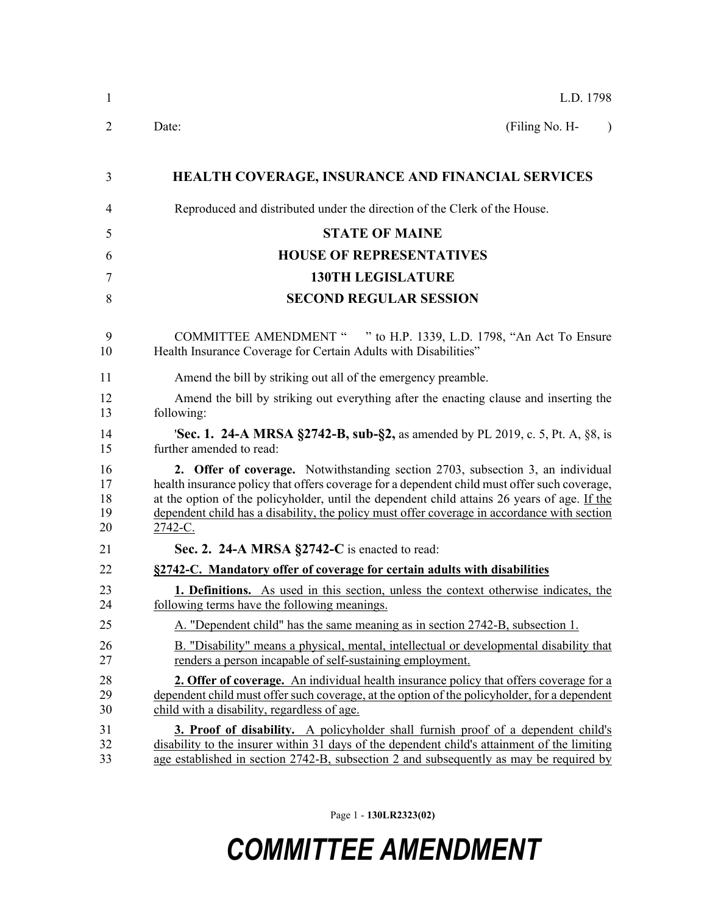| $\mathbf{1}$               | L.D. 1798                                                                                                                                                                                                                                                                                                                                                                                 |
|----------------------------|-------------------------------------------------------------------------------------------------------------------------------------------------------------------------------------------------------------------------------------------------------------------------------------------------------------------------------------------------------------------------------------------|
| 2                          | (Filing No. H-<br>Date:<br>$\lambda$                                                                                                                                                                                                                                                                                                                                                      |
| 3                          | <b>HEALTH COVERAGE, INSURANCE AND FINANCIAL SERVICES</b>                                                                                                                                                                                                                                                                                                                                  |
| 4                          | Reproduced and distributed under the direction of the Clerk of the House.                                                                                                                                                                                                                                                                                                                 |
| 5                          | <b>STATE OF MAINE</b>                                                                                                                                                                                                                                                                                                                                                                     |
| 6                          | <b>HOUSE OF REPRESENTATIVES</b>                                                                                                                                                                                                                                                                                                                                                           |
| 7                          | <b>130TH LEGISLATURE</b>                                                                                                                                                                                                                                                                                                                                                                  |
| 8                          | <b>SECOND REGULAR SESSION</b>                                                                                                                                                                                                                                                                                                                                                             |
| 9<br>10                    | COMMITTEE AMENDMENT " " to H.P. 1339, L.D. 1798, "An Act To Ensure<br>Health Insurance Coverage for Certain Adults with Disabilities"                                                                                                                                                                                                                                                     |
| 11                         | Amend the bill by striking out all of the emergency preamble.                                                                                                                                                                                                                                                                                                                             |
| 12<br>13                   | Amend the bill by striking out everything after the enacting clause and inserting the<br>following:                                                                                                                                                                                                                                                                                       |
| 14<br>15                   | <b>Sec. 1. 24-A MRSA §2742-B, sub-§2,</b> as amended by PL 2019, c. 5, Pt. A, §8, is<br>further amended to read:                                                                                                                                                                                                                                                                          |
| 16<br>17<br>18<br>19<br>20 | 2. Offer of coverage. Notwithstanding section 2703, subsection 3, an individual<br>health insurance policy that offers coverage for a dependent child must offer such coverage,<br>at the option of the policyholder, until the dependent child attains 26 years of age. If the<br>dependent child has a disability, the policy must offer coverage in accordance with section<br>2742-C. |
| 21                         | Sec. 2. 24-A MRSA §2742-C is enacted to read:                                                                                                                                                                                                                                                                                                                                             |
| 22                         | §2742-C. Mandatory offer of coverage for certain adults with disabilities                                                                                                                                                                                                                                                                                                                 |
| 23<br>24                   | 1. Definitions. As used in this section, unless the context otherwise indicates, the<br>following terms have the following meanings.                                                                                                                                                                                                                                                      |
| 25                         | A. "Dependent child" has the same meaning as in section 2742-B, subsection 1.                                                                                                                                                                                                                                                                                                             |
| 26<br>27                   | B. "Disability" means a physical, mental, intellectual or developmental disability that<br>renders a person incapable of self-sustaining employment.                                                                                                                                                                                                                                      |
| 28<br>29<br>30             | <b>2. Offer of coverage.</b> An individual health insurance policy that offers coverage for a<br>dependent child must offer such coverage, at the option of the policyholder, for a dependent<br>child with a disability, regardless of age.                                                                                                                                              |
| 31<br>32<br>33             | 3. Proof of disability. A policyholder shall furnish proof of a dependent child's<br>disability to the insurer within 31 days of the dependent child's attainment of the limiting<br>age established in section 2742-B, subsection 2 and subsequently as may be required by                                                                                                               |

Page 1 - **130LR2323(02)**

## *COMMITTEE AMENDMENT*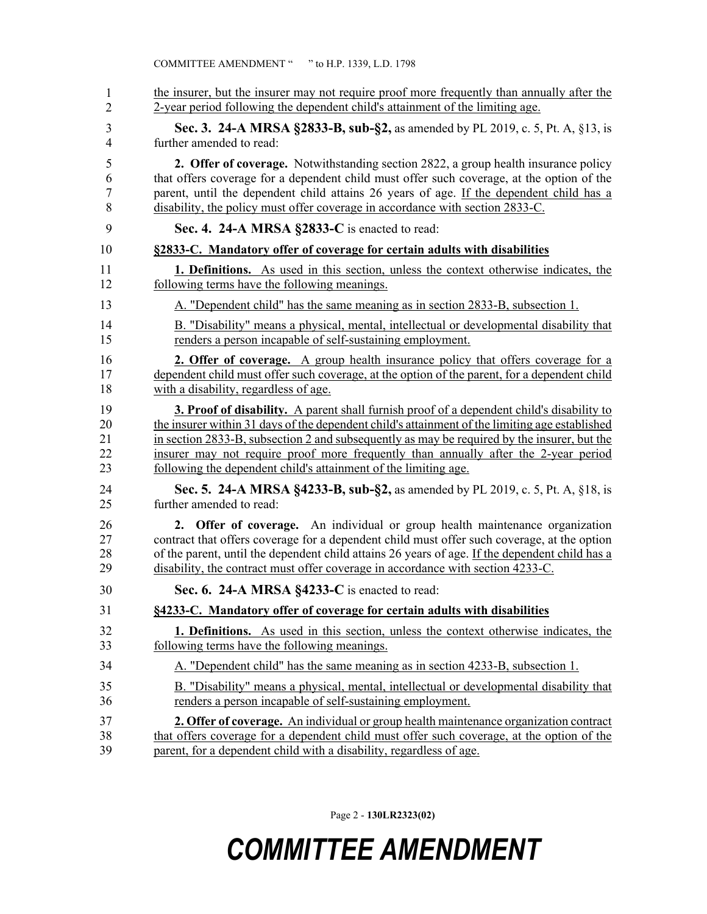| the insurer, but the insurer may not require proof more frequently than annually after the<br>2-year period following the dependent child's attainment of the limiting age.                                                                                                                                                                                                                                                                                 |
|-------------------------------------------------------------------------------------------------------------------------------------------------------------------------------------------------------------------------------------------------------------------------------------------------------------------------------------------------------------------------------------------------------------------------------------------------------------|
| Sec. 3. 24-A MRSA §2833-B, sub-§2, as amended by PL 2019, c. 5, Pt. A, §13, is<br>further amended to read:                                                                                                                                                                                                                                                                                                                                                  |
| 2. Offer of coverage. Notwithstanding section 2822, a group health insurance policy<br>that offers coverage for a dependent child must offer such coverage, at the option of the<br>parent, until the dependent child attains 26 years of age. If the dependent child has a<br>disability, the policy must offer coverage in accordance with section 2833-C.                                                                                                |
| Sec. 4. 24-A MRSA §2833-C is enacted to read:                                                                                                                                                                                                                                                                                                                                                                                                               |
| §2833-C. Mandatory offer of coverage for certain adults with disabilities                                                                                                                                                                                                                                                                                                                                                                                   |
| <b>1. Definitions.</b> As used in this section, unless the context otherwise indicates, the<br>following terms have the following meanings.                                                                                                                                                                                                                                                                                                                 |
| A. "Dependent child" has the same meaning as in section 2833-B, subsection 1.                                                                                                                                                                                                                                                                                                                                                                               |
| B. "Disability" means a physical, mental, intellectual or developmental disability that<br>renders a person incapable of self-sustaining employment.                                                                                                                                                                                                                                                                                                        |
| 2. Offer of coverage. A group health insurance policy that offers coverage for a<br>dependent child must offer such coverage, at the option of the parent, for a dependent child<br>with a disability, regardless of age.                                                                                                                                                                                                                                   |
| <b>3. Proof of disability.</b> A parent shall furnish proof of a dependent child's disability to<br>the insurer within 31 days of the dependent child's attainment of the limiting age established<br>in section 2833-B, subsection 2 and subsequently as may be required by the insurer, but the<br>insurer may not require proof more frequently than annually after the 2-year period<br>following the dependent child's attainment of the limiting age. |
| <b>Sec. 5. 24-A MRSA §4233-B, sub-§2, as amended by PL 2019, c. 5, Pt. A, §18, is</b><br>further amended to read:                                                                                                                                                                                                                                                                                                                                           |
| 2. Offer of coverage. An individual or group health maintenance organization<br>contract that offers coverage for a dependent child must offer such coverage, at the option<br>of the parent, until the dependent child attains 26 years of age. If the dependent child has a<br>disability, the contract must offer coverage in accordance with section 4233-C.                                                                                            |
| Sec. 6. 24-A MRSA §4233-C is enacted to read:                                                                                                                                                                                                                                                                                                                                                                                                               |
| §4233-C. Mandatory offer of coverage for certain adults with disabilities                                                                                                                                                                                                                                                                                                                                                                                   |
| <b>1. Definitions.</b> As used in this section, unless the context otherwise indicates, the<br>following terms have the following meanings.                                                                                                                                                                                                                                                                                                                 |
| A. "Dependent child" has the same meaning as in section 4233-B, subsection 1.                                                                                                                                                                                                                                                                                                                                                                               |
| B. "Disability" means a physical, mental, intellectual or developmental disability that<br>renders a person incapable of self-sustaining employment.                                                                                                                                                                                                                                                                                                        |
| 2. Offer of coverage. An individual or group health maintenance organization contract<br>that offers coverage for a dependent child must offer such coverage, at the option of the<br>parent, for a dependent child with a disability, regardless of age.                                                                                                                                                                                                   |

Page 2 - **130LR2323(02)**

## *COMMITTEE AMENDMENT*